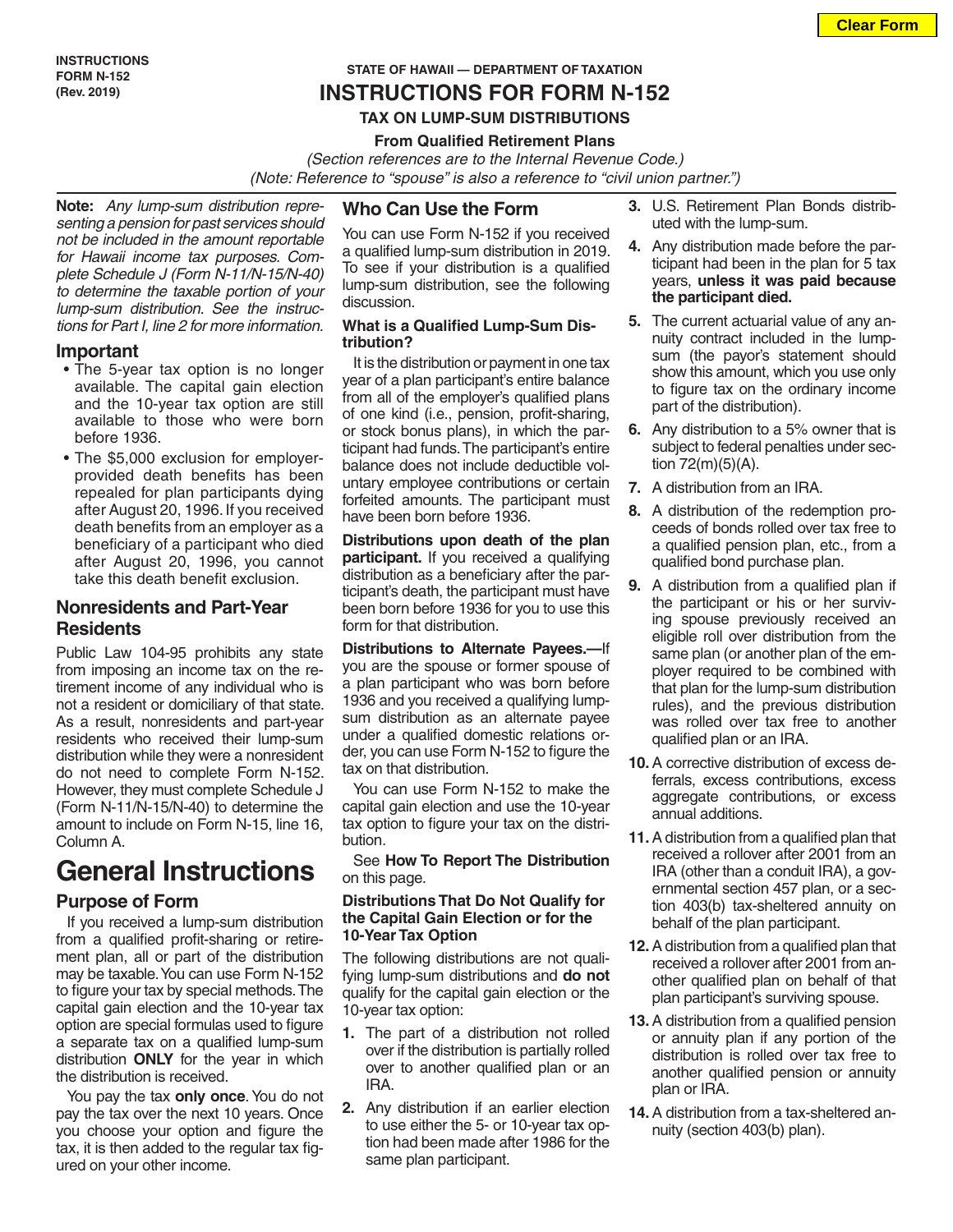## **INSTRUCTIONS FOR FORM N-152**

#### **TAX ON LUMP-SUM DISTRIBUTIONS**

#### **From Qualified Retirement Plans**

*(Section references are to the Internal Revenue Code.)* *(Note: Reference to "spouse" is also a reference to "civil union partner.")*

**Note:** *Any lump-sum distribution representing a pension for past services should not be included in the amount reportable for Hawaii income tax purposes. Complete Schedule J (Form N-11/N-15/N-40) to determine the taxable portion of your lump-sum distribution. See the instructions for Part I, line 2 for more information.*

#### **Important**

- The 5-year tax option is no longer available. The capital gain election and the 10-year tax option are still available to those who were born before 1936.
- The \$5,000 exclusion for employerprovided death benefits has been repealed for plan participants dying after August 20, 1996. If you received death benefits from an employer as a beneficiary of a participant who died after August 20, 1996, you cannot take this death benefit exclusion.

## **Nonresidents and Part-Year Residents**

Public Law 104-95 prohibits any state from imposing an income tax on the retirement income of any individual who is not a resident or domiciliary of that state. As a result, nonresidents and part-year residents who received their lump-sum distribution while they were a nonresident do not need to complete Form N-152. However, they must complete Schedule J (Form N-11/N-15/N-40) to determine the amount to include on Form N-15, line 16, Column A.

## **General Instructions**

#### **Purpose of Form**

If you received a lump-sum distribution from a qualified profit-sharing or retirement plan, all or part of the distribution may be taxable. You can use Form N-152 to figure your tax by special methods. The capital gain election and the 10-year tax option are special formulas used to figure a separate tax on a qualified lump-sum distribution **ONLY** for the year in which the distribution is received.

You pay the tax **only once**. You do not pay the tax over the next 10 years. Once you choose your option and figure the tax, it is then added to the regular tax figured on your other income.

#### **Who Can Use the Form**

You can use Form N-152 if you received a qualified lump-sum distribution in 2019. To see if your distribution is a qualified lump-sum distribution, see the following discussion.

#### **What is a Qualified Lump-Sum Distribution?**

It is the distribution or payment in one tax year of a plan participant's entire balance from all of the employer's qualified plans of one kind (i.e., pension, profit-sharing, or stock bonus plans), in which the participant had funds. The participant's entire balance does not include deductible voluntary employee contributions or certain forfeited amounts. The participant must have been born before 1936.

**Distributions upon death of the plan participant.** If you received a qualifying distribution as a beneficiary after the participant's death, the participant must have been born before 1936 for you to use this form for that distribution.

**Distributions to Alternate Payees.—**If you are the spouse or former spouse of a plan participant who was born before 1936 and you received a qualifying lumpsum distribution as an alternate payee under a qualified domestic relations order, you can use Form N-152 to figure the tax on that distribution.

You can use Form N-152 to make the capital gain election and use the 10-year tax option to figure your tax on the distribution.

See **How To Report The Distribution** on this page.

#### **Distributions That Do Not Qualify for the Capital Gain Election or for the 10-Year Tax Option**

The following distributions are not qualifying lump-sum distributions and **do not** qualify for the capital gain election or the 10-year tax option:

- **1.** The part of a distribution not rolled over if the distribution is partially rolled over to another qualified plan or an IRA.
- **2.** Any distribution if an earlier election to use either the 5- or 10-year tax option had been made after 1986 for the same plan participant.
- **3.** U.S. Retirement Plan Bonds distributed with the lump-sum.
- **4.** Any distribution made before the participant had been in the plan for 5 tax years, **unless it was paid because the participant died.**
- **5.** The current actuarial value of any annuity contract included in the lumpsum (the payor's statement should show this amount, which you use only to figure tax on the ordinary income part of the distribution).
- **6.** Any distribution to a 5% owner that is subject to federal penalties under section 72(m)(5)(A).
- **7.** A distribution from an IRA.
- **8.** A distribution of the redemption proceeds of bonds rolled over tax free to a qualified pension plan, etc., from a qualified bond purchase plan.
- **9.** A distribution from a qualified plan if the participant or his or her surviving spouse previously received an eligible roll over distribution from the same plan (or another plan of the employer required to be combined with that plan for the lump-sum distribution rules), and the previous distribution was rolled over tax free to another qualified plan or an IRA.
- **10.**A corrective distribution of excess deferrals, excess contributions, excess aggregate contributions, or excess annual additions.
- **11.**A distribution from a qualified plan that received a rollover after 2001 from an IRA (other than a conduit IRA), a governmental section 457 plan, or a section 403(b) tax-sheltered annuity on behalf of the plan participant.
- **12.**A distribution from a qualified plan that received a rollover after 2001 from another qualified plan on behalf of that plan participant's surviving spouse.
- **13.**A distribution from a qualified pension or annuity plan if any portion of the distribution is rolled over tax free to another qualified pension or annuity plan or IRA.
- **14.**A distribution from a tax-sheltered annuity (section 403(b) plan).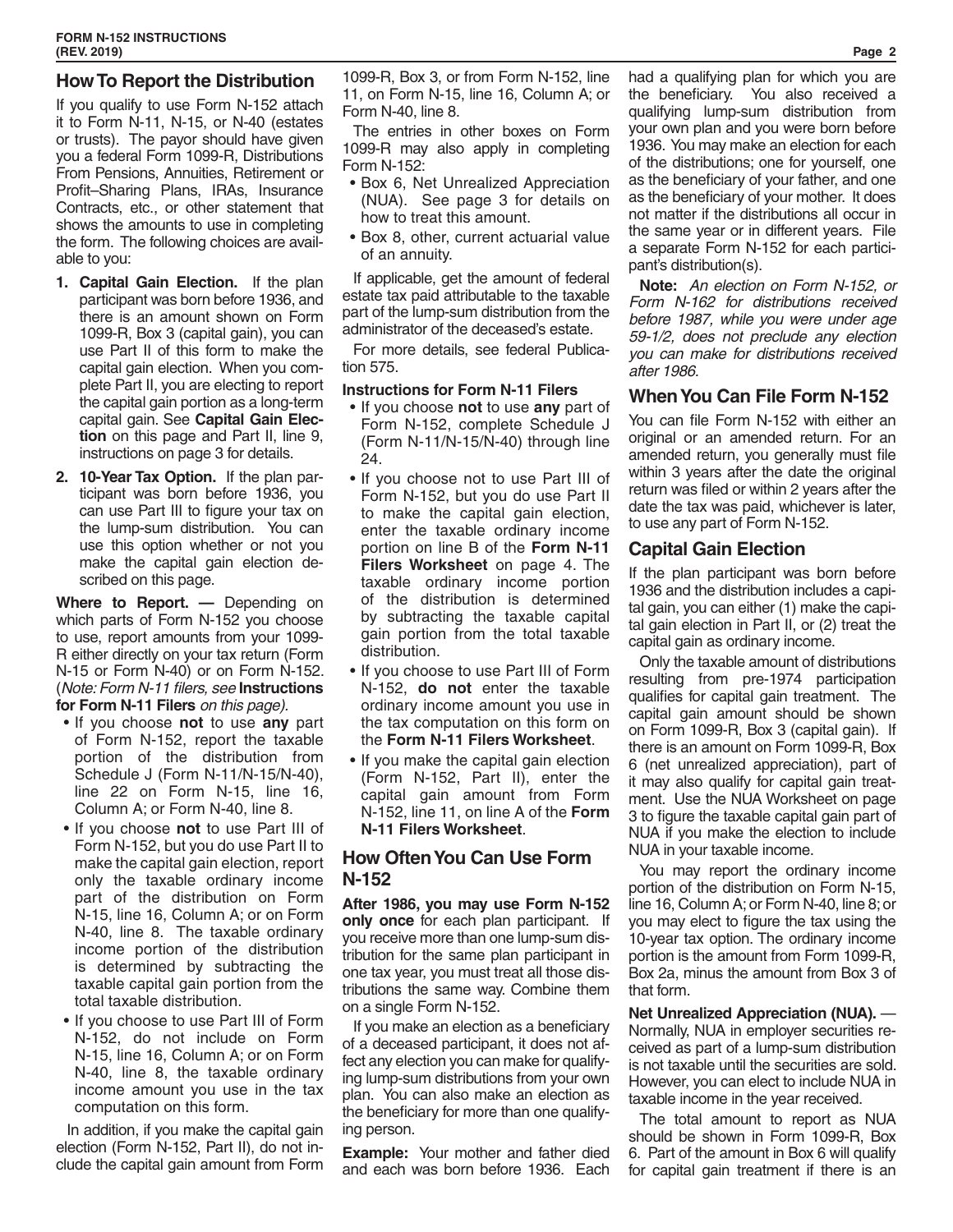## **How To Report the Distribution**

If you qualify to use Form N-152 attach it to Form N-11, N-15, or N-40 (estates or trusts). The payor should have given you a federal Form 1099-R, Distributions From Pensions, Annuities, Retirement or Profit–Sharing Plans, IRAs, Insurance Contracts, etc., or other statement that shows the amounts to use in completing the form. The following choices are available to you:

- **1. Capital Gain Election.** If the plan participant was born before 1936, and there is an amount shown on Form 1099-R, Box 3 (capital gain), you can use Part II of this form to make the capital gain election. When you complete Part II, you are electing to report the capital gain portion as a long-term capital gain. See **Capital Gain Election** on this page and Part II, line 9, instructions on page 3 for details.
- **2. 10-Year Tax Option.** If the plan participant was born before 1936, you can use Part III to figure your tax on the lump-sum distribution. You can use this option whether or not you make the capital gain election described on this page.

**Where to Report. —** Depending on which parts of Form N-152 you choose to use, report amounts from your 1099- R either directly on your tax return (Form N-15 or Form N-40) or on Form N-152. (*Note: Form N-11 filers, see* **Instructions for Form N-11 Filers** *on this page).*

- If you choose **not** to use **any** part of Form N-152, report the taxable portion of the distribution from Schedule J (Form N-11/N-15/N-40), line 22 on Form N-15, line 16, Column A; or Form N-40, line 8.
- If you choose **not** to use Part III of Form N-152, but you do use Part II to make the capital gain election, report only the taxable ordinary income part of the distribution on Form N-15, line 16, Column A; or on Form N-40, line 8. The taxable ordinary income portion of the distribution is determined by subtracting the taxable capital gain portion from the total taxable distribution.
- If you choose to use Part III of Form N-152, do not include on Form N-15, line 16, Column A; or on Form N-40, line 8, the taxable ordinary income amount you use in the tax computation on this form.

In addition, if you make the capital gain election (Form N-152, Part II), do not include the capital gain amount from Form

1099-R, Box 3, or from Form N-152, line 11, on Form N-15, line 16, Column A; or Form N-40, line 8.

The entries in other boxes on Form 1099-R may also apply in completing Form N-152:

- Box 6, Net Unrealized Appreciation (NUA). See page 3 for details on how to treat this amount.
- Box 8, other, current actuarial value of an annuity.

If applicable, get the amount of federal estate tax paid attributable to the taxable part of the lump-sum distribution from the administrator of the deceased's estate.

For more details, see federal Publication 575.

#### **Instructions for Form N-11 Filers**

- If you choose **not** to use **any** part of Form N-152, complete Schedule J (Form N-11/N-15/N-40) through line 24.
- If you choose not to use Part III of Form N-152, but you do use Part II to make the capital gain election, enter the taxable ordinary income portion on line B of the **Form N-11 Filers Worksheet** on page 4. The taxable ordinary income portion of the distribution is determined by subtracting the taxable capital gain portion from the total taxable distribution.
- If you choose to use Part III of Form N-152, **do not** enter the taxable ordinary income amount you use in the tax computation on this form on the **Form N-11 Filers Worksheet**.
- If you make the capital gain election (Form N-152, Part II), enter the capital gain amount from Form N-152, line 11, on line A of the **Form N-11 Filers Worksheet**.

## **How Often You Can Use Form N-152**

**After 1986, you may use Form N-152 only once** for each plan participant. If you receive more than one lump-sum distribution for the same plan participant in one tax year, you must treat all those distributions the same way. Combine them on a single Form N-152.

If you make an election as a beneficiary of a deceased participant, it does not affect any election you can make for qualifying lump-sum distributions from your own plan. You can also make an election as the beneficiary for more than one qualifying person.

**Example:** Your mother and father died and each was born before 1936. Each had a qualifying plan for which you are the beneficiary. You also received a qualifying lump-sum distribution from your own plan and you were born before 1936. You may make an election for each of the distributions; one for yourself, one as the beneficiary of your father, and one as the beneficiary of your mother. It does not matter if the distributions all occur in the same year or in different years. File a separate Form N-152 for each participant's distribution(s).

**Note:** *An election on Form N-152, or Form N-162 for distributions received before 1987, while you were under age 59-1/2, does not preclude any election you can make for distributions received after 1986.*

## **When You Can File Form N-152**

You can file Form N-152 with either an original or an amended return. For an amended return, you generally must file within 3 years after the date the original return was filed or within 2 years after the date the tax was paid, whichever is later, to use any part of Form N-152.

## **Capital Gain Election**

If the plan participant was born before 1936 and the distribution includes a capital gain, you can either (1) make the capital gain election in Part II, or (2) treat the capital gain as ordinary income.

Only the taxable amount of distributions resulting from pre-1974 participation qualifies for capital gain treatment. The capital gain amount should be shown on Form 1099-R, Box 3 (capital gain). If there is an amount on Form 1099-R, Box 6 (net unrealized appreciation), part of it may also qualify for capital gain treatment. Use the NUA Worksheet on page 3 to figure the taxable capital gain part of NUA if you make the election to include NUA in your taxable income.

You may report the ordinary income portion of the distribution on Form N-15, line 16, Column A; or Form N-40, line 8; or you may elect to figure the tax using the 10-year tax option. The ordinary income portion is the amount from Form 1099-R, Box 2a, minus the amount from Box 3 of that form.

**Net Unrealized Appreciation (NUA).** — Normally, NUA in employer securities received as part of a lump-sum distribution is not taxable until the securities are sold. However, you can elect to include NUA in taxable income in the year received.

The total amount to report as NUA should be shown in Form 1099-R, Box 6. Part of the amount in Box 6 will qualify for capital gain treatment if there is an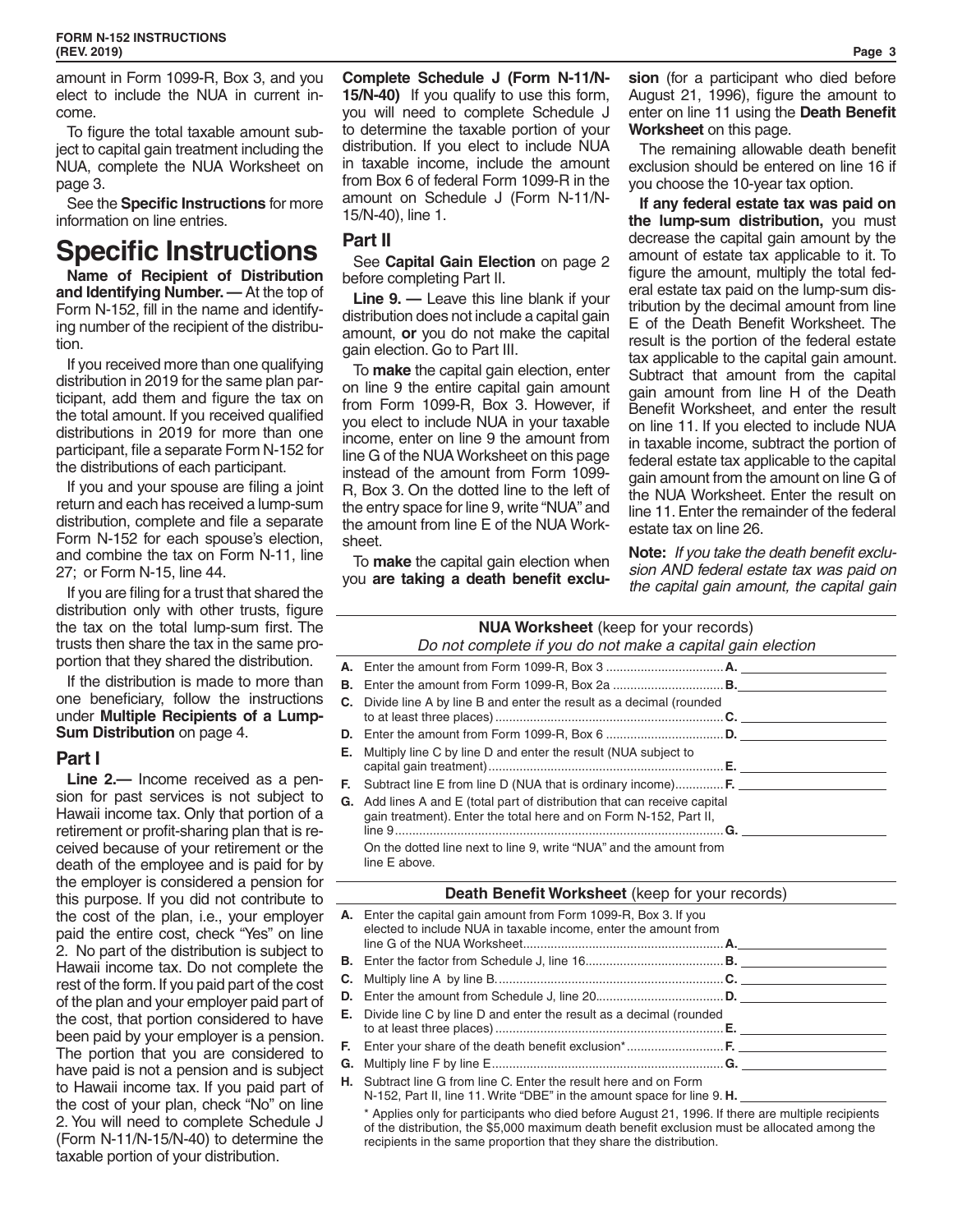amount in Form 1099-R, Box 3, and you elect to include the NUA in current income.

To figure the total taxable amount subject to capital gain treatment including the NUA, complete the NUA Worksheet on page 3.

See the **Specific Instructions** for more information on line entries.

# **Specific Instructions**

**Name of Recipient of Distribution and Identifying Number. —** At the top of Form N-152, fill in the name and identifying number of the recipient of the distribution.

If you received more than one qualifying distribution in 2019 for the same plan participant, add them and figure the tax on the total amount. If you received qualified distributions in 2019 for more than one participant, file a separate Form N-152 for the distributions of each participant.

If you and your spouse are filing a joint return and each has received a lump-sum distribution, complete and file a separate Form N-152 for each spouse's election, and combine the tax on Form N-11, line 27; or Form N-15, line 44.

If you are filing for a trust that shared the distribution only with other trusts, figure the tax on the total lump-sum first. The trusts then share the tax in the same proportion that they shared the distribution.

If the distribution is made to more than one beneficiary, follow the instructions under **Multiple Recipients of a Lump-Sum Distribution** on page 4.

#### **Part I**

**Line 2.—** Income received as a pension for past services is not subject to Hawaii income tax. Only that portion of a retirement or profit-sharing plan that is received because of your retirement or the death of the employee and is paid for by the employer is considered a pension for this purpose. If you did not contribute to the cost of the plan, i.e., your employer paid the entire cost, check "Yes" on line 2. No part of the distribution is subject to Hawaii income tax. Do not complete the rest of the form. If you paid part of the cost of the plan and your employer paid part of the cost, that portion considered to have been paid by your employer is a pension. The portion that you are considered to have paid is not a pension and is subject to Hawaii income tax. If you paid part of the cost of your plan, check "No" on line 2. You will need to complete Schedule J (Form N-11/N-15/N-40) to determine the taxable portion of your distribution.

**Complete Schedule J (Form N-11/N-15/N-40)** If you qualify to use this form, you will need to complete Schedule J to determine the taxable portion of your distribution. If you elect to include NUA in taxable income, include the amount from Box 6 of federal Form 1099-R in the amount on Schedule J (Form N-11/N-15/N-40), line 1.

## **Part II**

See **Capital Gain Election** on page 2 before completing Part II.

**Line 9. —** Leave this line blank if your distribution does not include a capital gain amount, **or** you do not make the capital gain election. Go to Part III.

To **make** the capital gain election, enter on line 9 the entire capital gain amount from Form 1099-R, Box 3. However, if you elect to include NUA in your taxable income, enter on line 9 the amount from line G of the NUA Worksheet on this page instead of the amount from Form 1099- R, Box 3. On the dotted line to the left of the entry space for line 9, write "NUA" and the amount from line E of the NUA Worksheet.

To **make** the capital gain election when you **are taking a death benefit exclu-** **sion** (for a participant who died before August 21, 1996), figure the amount to enter on line 11 using the **Death Benefit Worksheet** on this page.

The remaining allowable death benefit exclusion should be entered on line 16 if you choose the 10-year tax option.

**If any federal estate tax was paid on the lump-sum distribution,** you must decrease the capital gain amount by the amount of estate tax applicable to it. To figure the amount, multiply the total federal estate tax paid on the lump-sum distribution by the decimal amount from line E of the Death Benefit Worksheet. The result is the portion of the federal estate tax applicable to the capital gain amount. Subtract that amount from the capital gain amount from line H of the Death Benefit Worksheet, and enter the result on line 11. If you elected to include NUA in taxable income, subtract the portion of federal estate tax applicable to the capital gain amount from the amount on line G of the NUA Worksheet. Enter the result on line 11. Enter the remainder of the federal estate tax on line 26.

**Note:** *If you take the death benefit exclusion AND federal estate tax was paid on the capital gain amount, the capital gain* 

## **NUA Worksheet** (keep for your records)

#### *Do not complete if you do not make a capital gain election*

| <b>C.</b> Divide line A by line B and enter the result as a decimal (rounded                                                                          |  |
|-------------------------------------------------------------------------------------------------------------------------------------------------------|--|
|                                                                                                                                                       |  |
| <b>E.</b> Multiply line C by line D and enter the result (NUA subject to                                                                              |  |
| <b>F.</b> Subtract line E from line D (NUA that is ordinary income) <b>F.</b>                                                                         |  |
| <b>G.</b> Add lines A and E (total part of distribution that can receive capital<br>gain treatment). Enter the total here and on Form N-152, Part II, |  |
| On the dotted line next to line 9, write "NUA" and the amount from<br>line E above.                                                                   |  |

#### **Death Benefit Worksheet** (keep for your records)

| A. Enter the capital gain amount from Form 1099-R, Box 3. If you<br>elected to include NUA in taxable income, enter the amount from |  |
|-------------------------------------------------------------------------------------------------------------------------------------|--|
|                                                                                                                                     |  |
|                                                                                                                                     |  |
|                                                                                                                                     |  |
| <b>E.</b> Divide line C by line D and enter the result as a decimal (rounded                                                        |  |
|                                                                                                                                     |  |
|                                                                                                                                     |  |
| <b>H.</b> Subtract line G from line C. Enter the result here and on Form                                                            |  |

N-152, Part II, line 11. Write "DBE" in the amount space for line 9. **H.** 

\* Applies only for participants who died before August 21, 1996. If there are multiple recipients of the distribution, the \$5,000 maximum death benefit exclusion must be allocated among the recipients in the same proportion that they share the distribution.